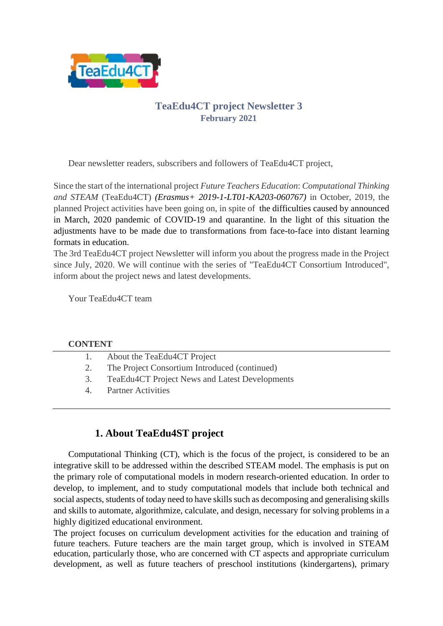

## **TeaEdu4CT project Newsletter 3 February 2021**

Dear newsletter readers, subscribers and followers of TeaEdu4CT project,

Since the start of the international project *Future Teachers Education*: *Computational Thinking and STEAM* (TeaEdu4CT) *(Erasmus+ 2019-1-LT01-KA203-060767)* in October, 2019, the planned Project activities have been going on, in spite of the difficulties caused by announced in March, 2020 pandemic of COVID-19 and quarantine. In the light of this situation the adjustments have to be made due to transformations from face-to-face into distant learning formats in education.

The 3rd TeaEdu4CT project Newsletter will inform you about the progress made in the Project since July, 2020. We will continue with the series of "TeaEdu4CT Consortium Introduced", inform about the project news and latest developments.

Your TeaEdu4CT team

#### **CONTENT**

| 1. | About the TeaEdu4CT Project |  |
|----|-----------------------------|--|
|    |                             |  |

- 2. The Project Consortium Introduced (continued)
- 3. TeaEdu4CT Project News and Latest Developments
- 4. Partner Activities

## **1. About TeaEdu4ST project**

Computational Thinking (CT), which is the focus of the project, is considered to be an integrative skill to be addressed within the described STEAM model. The emphasis is put on the primary role of computational models in modern research-oriented education. In order to develop, to implement, and to study computational models that include both technical and social aspects, students of today need to have skills such as decomposing and generalising skills and skills to automate, algorithmize, calculate, and design, necessary for solving problems in a highly digitized educational environment.

The project focuses on curriculum development activities for the education and training of future teachers. Future teachers are the main target group, which is involved in STEAM education, particularly those, who are concerned with CT aspects and appropriate curriculum development, as well as future teachers of preschool institutions (kindergartens), primary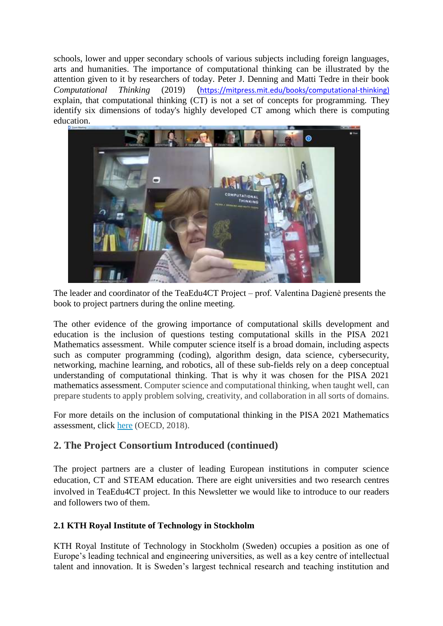schools, lower and upper secondary schools of various subjects including foreign languages, arts and humanities. The importance of computational thinking can be illustrated by the attention given to it by researchers of today. Peter J. Denning and Matti Tedre in their book *Computational Thinking* (2019) ([https://mitpress.mit.edu/books/computational-thinking\)](https://mitpress.mit.edu/books/computational-thinking) explain, that computational thinking (CT) is not a set of concepts for programming. They identify six dimensions of today's highly developed CT among which there is computing education.



The leader and coordinator of the TeaEdu4CT Project – prof. Valentina Dagienė presents the book to project partners during the online meeting.

The other evidence of the growing importance of computational skills development and education is the inclusion of questions testing computational skills in the PISA 2021 Mathematics assessment. While computer science itself is a broad domain, including aspects such as computer programming (coding), algorithm design, data science, cybersecurity, networking, machine learning, and robotics, all of these sub-fields rely on a deep conceptual understanding of computational thinking. That is why it was chosen for the PISA 2021 mathematics assessment. Computer science and computational thinking, when taught well, can prepare students to apply problem solving, creativity, and collaboration in all sorts of domains.

For more details on the inclusion of computational thinking in the PISA 2021 Mathematics assessment, click [here](http://www.oecd.org/pisa/pisaproducts/pisa-2021-mathematics-framework-draft.pdf) (OECD, 2018).

## **2. The Project Consortium Introduced (continued)**

The project partners are a cluster of leading European institutions in computer science education, CT and STEAM education. There are eight universities and two research centres involved in TeaEdu4CT project. In this Newsletter we would like to introduce to our readers and followers two of them.

### **2.1 KTH Royal Institute of Technology in Stockholm**

KTH Royal Institute of Technology in Stockholm (Sweden) occupies a position as one of Europe's leading technical and engineering universities, as well as a key centre of intellectual talent and innovation. It is Sweden's largest technical research and teaching institution and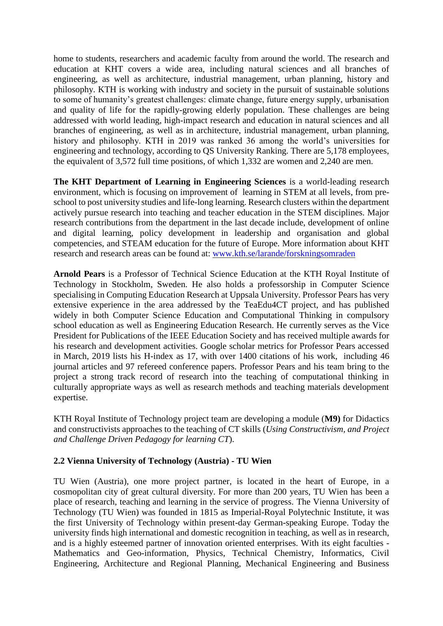home to students, researchers and academic faculty from around the world. The research and education at KHT covers a wide area, including natural sciences and all branches of engineering, as well as architecture, industrial management, urban planning, history and philosophy. KTH is working with industry and society in the pursuit of sustainable solutions to some of humanity's greatest challenges: climate change, future energy supply, urbanisation and quality of life for the rapidly-growing elderly population. These challenges are being addressed with world leading, high-impact research and education in natural sciences and all branches of engineering, as well as in architecture, industrial management, urban planning, history and philosophy. KTH in 2019 was ranked 36 among the world's universities for engineering and technology, according to QS University Ranking. There are 5,178 employees, the equivalent of 3,572 full time positions, of which 1,332 are women and 2,240 are men.

**The KHT Department of Learning in Engineering Sciences** is a world-leading research environment, which is focusing on improvement of learning in STEM at all levels, from preschool to post university studies and life-long learning. Research clusters within the department actively pursue research into teaching and teacher education in the STEM disciplines. Major research contributions from the department in the last decade include, development of online and digital learning, policy development in leadership and organisation and global competencies, and STEAM education for the future of Europe. More information about KHT research and research areas can be found at: [www.kth.se/larande/forskningsomraden](http://www.kth.se/larande/forskningsomraden)

**Arnold Pears** is a Professor of Technical Science Education at the KTH Royal Institute of Technology in Stockholm, Sweden. He also holds a professorship in Computer Science specialising in Computing Education Research at Uppsala University. Professor Pears has very extensive experience in the area addressed by the TeaEdu4CT project, and has published widely in both Computer Science Education and Computational Thinking in compulsory school education as well as Engineering Education Research. He currently serves as the Vice President for Publications of the IEEE Education Society and has received multiple awards for his research and development activities. Google scholar metrics for Professor Pears accessed in March, 2019 lists his H-index as 17, with over 1400 citations of his work, including 46 journal articles and 97 refereed conference papers. Professor Pears and his team bring to the project a strong track record of research into the teaching of computational thinking in culturally appropriate ways as well as research methods and teaching materials development expertise.

KTH Royal Institute of Technology project team are developing a module (**M9)** for Didactics and constructivists approaches to the teaching of CT skills (*Using Constructivism, and Project and Challenge Driven Pedagogy for learning CT*).

### **2.2 Vienna University of Technology (Austria) - TU Wien**

TU Wien (Austria), one more project partner, is located in the heart of Europe, in a cosmopolitan city of great cultural diversity. For more than 200 years, TU Wien has been a place of research, teaching and learning in the service of progress. The Vienna University of Technology (TU Wien) was founded in 1815 as Imperial-Royal Polytechnic Institute, it was the first University of Technology within present-day German-speaking Europe. Today the university finds high international and domestic recognition in teaching, as well as in research, and is a highly esteemed partner of innovation oriented enterprises. With its eight faculties - Mathematics and Geo-information, Physics, Technical Chemistry, Informatics, Civil Engineering, Architecture and Regional Planning, Mechanical Engineering and Business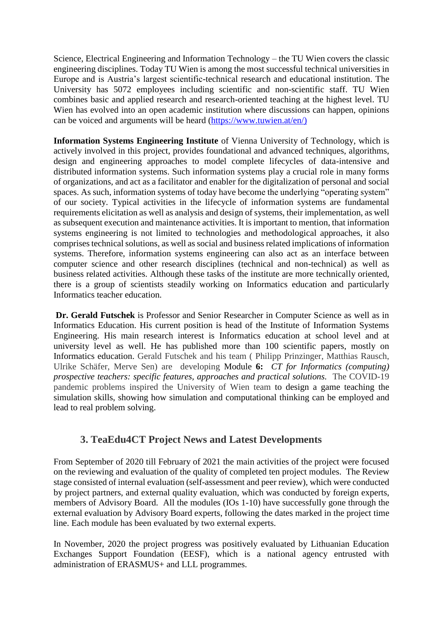Science, Electrical Engineering and Information Technology – the TU Wien covers the classic engineering disciplines. Today TU Wien is among the most successful technical universities in Europe and is Austria's largest scientific-technical research and educational institution. The University has 5072 employees including scientific and non-scientific staff. TU Wien combines basic and applied research and research-oriented teaching at the highest level. TU Wien has evolved into an open academic institution where discussions can happen, opinions can be voiced and arguments will be heard [\(https://www.tuwien.at/en/\)](https://www.tuwien.at/en/)

**Information Systems Engineering Institute** of Vienna University of Technology, which is actively involved in this project, provides foundational and advanced techniques, algorithms, design and engineering approaches to model complete lifecycles of data-intensive and distributed information systems. Such information systems play a crucial role in many forms of organizations, and act as a facilitator and enabler for the digitalization of personal and social spaces. As such, information systems of today have become the underlying "operating system" of our society. Typical activities in the lifecycle of information systems are fundamental requirements elicitation as well as analysis and design of systems, their implementation, as well as subsequent execution and maintenance activities. It is important to mention, that information systems engineering is not limited to technologies and methodological approaches, it also comprises technical solutions, as well as social and business related implications of information systems. Therefore, information systems engineering can also act as an interface between computer science and other research disciplines (technical and non-technical) as well as business related activities. Although these tasks of the institute are more technically oriented, there is a group of scientists steadily working on Informatics education and particularly Informatics teacher education.

**Dr. Gerald Futschek** is Professor and Senior Researcher in Computer Science as well as in Informatics Education. His current position is head of the Institute of Information Systems Engineering. His main research interest is Informatics education at school level and at university level as well. He has published more than 100 scientific papers, mostly on Informatics education. Gerald Futschek and his team ( Philipp Prinzinger, Matthias Rausch, Ulrike Schäfer, Merve Sen) are developing Module **6:** *CT for Informatics (computing) prospective teachers: specific features, approaches and practical solutions.* The COVID-19 pandemic problems inspired the University of Wien team to design a game teaching the simulation skills, showing how simulation and computational thinking can be employed and lead to real problem solving.

## **3. TeaEdu4CT Project News and Latest Developments**

From September of 2020 till February of 2021 the main activities of the project were focused on the reviewing and evaluation of the quality of completed ten project modules. The Review stage consisted of internal evaluation (self-assessment and peer review), which were conducted by project partners, and external quality evaluation, which was conducted by foreign experts, members of Advisory Board. All the modules (IOs 1-10) have successfully gone through the external evaluation by Advisory Board experts, following the dates marked in the project time line. Each module has been evaluated by two external experts.

In November, 2020 the project progress was positively evaluated by Lithuanian Education Exchanges Support Foundation (EESF), which is a national agency entrusted with administration of ERASMUS+ and LLL programmes.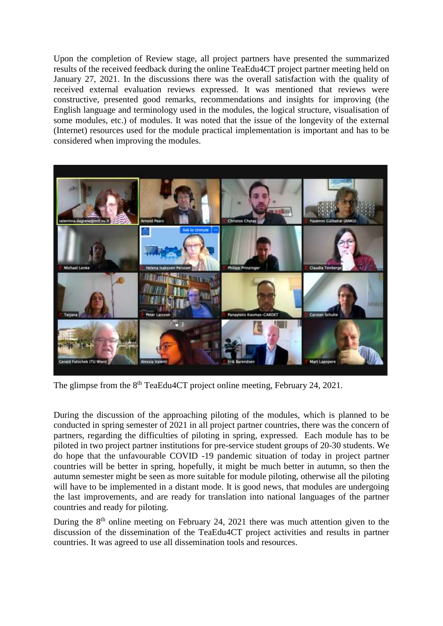Upon the completion of Review stage, all project partners have presented the summarized results of the received feedback during the online TeaEdu4CT project partner meeting held on January 27, 2021. In the discussions there was the overall satisfaction with the quality of received external evaluation reviews expressed. It was mentioned that reviews were constructive, presented good remarks, recommendations and insights for improving (the English language and terminology used in the modules, the logical structure, visualisation of some modules, etc.) of modules. It was noted that the issue of the longevity of the external (Internet) resources used for the module practical implementation is important and has to be considered when improving the modules.



The glimpse from the 8<sup>th</sup> TeaEdu4CT project online meeting, February 24, 2021.

During the discussion of the approaching piloting of the modules, which is planned to be conducted in spring semester of 2021 in all project partner countries, there was the concern of partners, regarding the difficulties of piloting in spring, expressed. Each module has to be piloted in two project partner institutions for pre-service student groups of 20-30 students. We do hope that the unfavourable COVID -19 pandemic situation of today in project partner countries will be better in spring, hopefully, it might be much better in autumn, so then the autumn semester might be seen as more suitable for module piloting, otherwise all the piloting will have to be implemented in a distant mode. It is good news, that modules are undergoing the last improvements, and are ready for translation into national languages of the partner countries and ready for piloting.

During the 8<sup>th</sup> online meeting on February 24, 2021 there was much attention given to the discussion of the dissemination of the TeaEdu4CT project activities and results in partner countries. It was agreed to use all dissemination tools and resources.